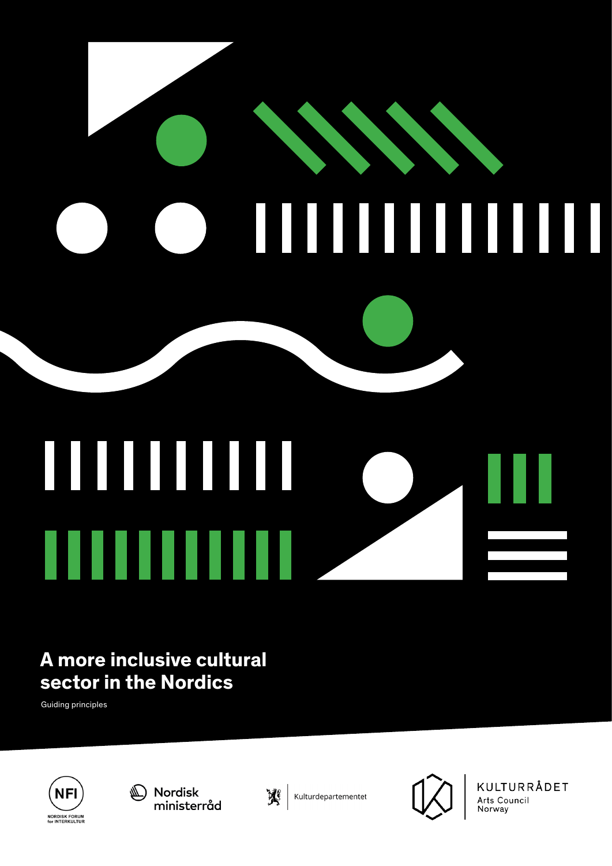# **CONSTRUCTION OF REAL PROPERTY** ı ║ I

# 

# **A more inclusive cultural sector in the Nordics**

Guiding principles









KULTURRÅDET Arts Council Norway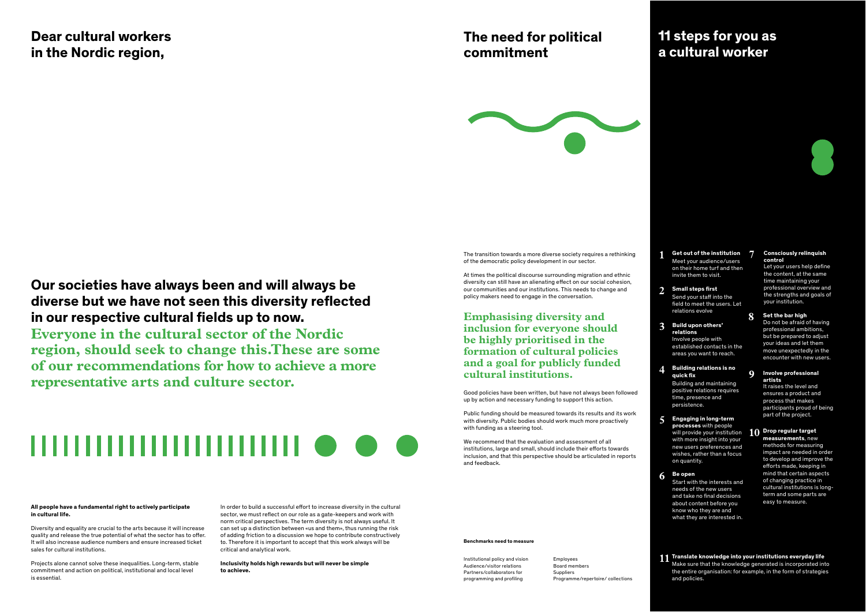#### **All people have a fundamental right to actively participate in cultural life.**

Diversity and equality are crucial to the arts because it will increase quality and release the true potential of what the sector has to offer. It will also increase audience numbers and ensure increased ticket sales for cultural institutions.

Projects alone cannot solve these inequalities. Long-term, stable commitment and action on political, institutional and local level is essential.

## **Dear cultural workers in the Nordic region,**

# **Our societies have always been and will always be diverse but we have not seen this diversity reflected in our respective cultural fields up to now.**

**Everyone in the cultural sector of the Nordic region, should seek to change this.These are some of our recommendations for how to achieve a more representative arts and culture sector.**

# ,,,,,,,,,,,,,,,,,,,,,,,,,

In order to build a successful effort to increase diversity in the cultural sector, we must reflect on our role as a gate-keepers and work with norm critical perspectives. The term diversity is not always useful. It can set up a distinction between «us and them», thus running the risk of adding friction to a discussion we hope to contribute constructively to. Therefore it is important to accept that this work always will be critical and analytical work.

**Inclusivity holds high rewards but will never be simple to achieve.** 

Good policies have been written, but have not always been followed up by action and necessary funding to support this action.

Public funding should be measured towards its results and its work with diversity. Public bodies should work much more proactively with funding as a steering tool.

We recommend that the evaluation and assessment of all institutions, large and small, should include their efforts towards inclusion, and that this perspective should be articulated in reports and feedback.

#### **Benchmarks need to measure**

## **The need for political commitment**



# **11 steps for you as a cultural worker**



Institutional policy and vision Audience/visitor relations Partners/collaborators for programming and profiling

Employees Board members **Suppliers** Programme/repertoire/ collections

#### **Emphasising diversity and inclusion for everyone should be highly prioritised in the formation of cultural policies and a goal for publicly funded cultural institutions.**

The transition towards a more diverse society requires a rethinking of the democratic policy development in our sector.

At times the political discourse surrounding migration and ethnic diversity can still have an alienating effect on our social cohesion, our communities and our institutions. This needs to change and policy makers need to engage in the conversation.

- Meet your audience/users on their home turf and then invite them to visit. **Get out of the institution 1**
- Send your staff into the field to meet the users. Let relations evolve **Small steps first 2**
- Involve people with **Build upon others' relations 3**

established contacts in the areas you want to reach.

- Building and maintaining positive relations requires time, presence and persistence. **Building relations is no quick fix 4**
- **Engaging in long-term processes** with people will provide your institution with more insight into your new users preferences and wishes, rather than a focus on quantity. **5**
- **Be open 6**

Start with the interests and needs of the new users and take no final decisions about content before you know who they are and what they are interested in.

Let your users help define the content, at the same time maintaining your professional overview and the strengths and goals of your institution.

#### **Consciously relinquish control 7**

Do not be afraid of having professional ambitions, but be prepared to adjust your ideas and let them move unexpectedly in the encounter with new users.

#### **Set the bar high 8**

It raises the level and ensures a product and process that makes participants proud of being part of the project.

#### 10 Drop regular target

### **Involve professional artists 9**

**measurements**, new methods for measuring impact are needed in order to develop and improve the efforts made, keeping in mind that certain aspects of changing practice in cultural institutions is longterm and some parts are easy to measure.